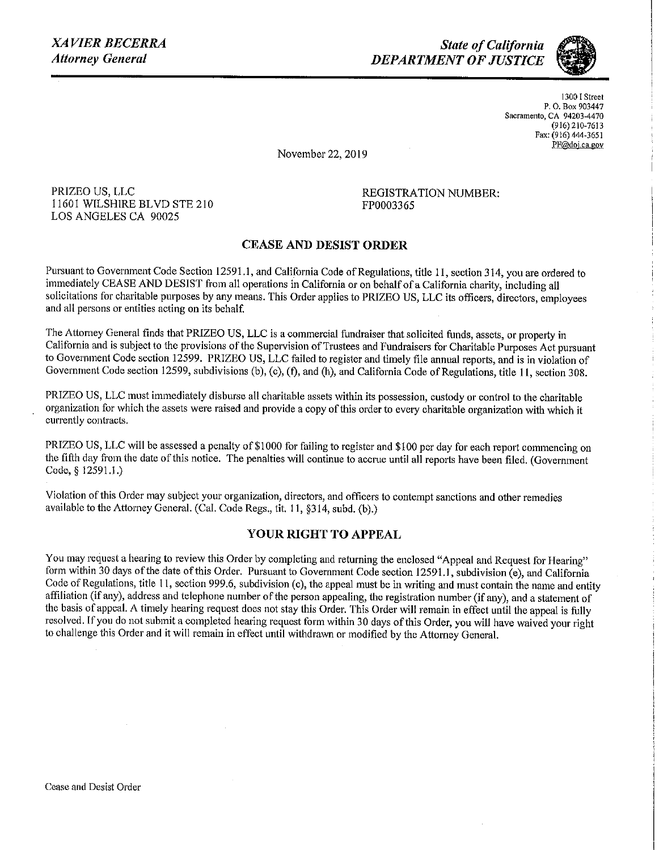*State of California DEPARTMENT OF JUSTICE* 



**1300 I Street P. 0. Box 903447 Sacramento, CA 94203-4470**  (916) 210-7613 Fax: (916) 444-3651 **PF@doj.ca gov** 

November 22, 2019

PRIZEO US, LLC 11601 WILSHIRE BLVD STE 210 LOS ANGELES CA 90025

REGISTRATION NUMBER: FP0003365

## **CEASE AND DESIST ORDER**

Pursuant to Government Code Section 12591.1, and California Code of Regulations, title 11, section 314, you are ordered to immediately CEASE AND DESIST from all operations in California or on behalf of a California charity, including all solicitations for charitable purposes by any means. This Order applies to PRIZEO US, LLC its officers, directors, employees and all persons or entities acting on its behalf.

The Attorney General finds that PRIZEO US, LLC is a commercial fundraiser that solicited funds, assets, or property in California and is subject to the provisions of the Supervision of Trustees and Fundraisers for Charitable Purposes Act pursuant to Government Code section 12599. PRIZEO US, LLC failed to register and timely file annual reports, and is in violation of Government Code section 12599, subdivisions (b), (c), (f), and (h), and California Code of Regulations, title 11, section 308.

PRIZEO US, LLC must immediately disburse all charitable assets within its possession, custody or control to the charitable organization for which the assets were raised and provide a copy of this order to every charitable organization with which it **currently contracts.** 

PRIZEO US, LLC will be assessed a penalty of \$1000 for failing to register and \$100 per day for each report commencing on the fifth day from the date of this notice. The penalties will continue to accrue until all reports have been filed. (Government Code,§ 12591.1.)

Violation of this Order may subject your organization, directors, and officers to contempt sanctions and other remedies available to the Attorney General. (Cal. Code Regs., tit. 11, §314, subd. (b).)

## **YOUR RIGHT TO APPEAL**

You may request a hearing to review this Order by completing and returning the enclosed "Appeal and Request for Hearing" form within 30 days of the date of this Order. Pursuant to Government Code section 12591.1, subdivision (e), and California Code of Regulations, title 11, section 999.6, subdivision (c), the appeal must be in writing and must contain the name and entity affiliation (if any), address and telephone number of the person appealing, the registration number (if any), and a statement of the basis of appeal. A timely hearing request does not stay this Order. This Order will remain in effect until the appeal is fully resolved. If you do not submit a completed hearing request form within 30 days of this Order, you will have waived your right to challenge this Order and it will remain in effect until withdrawn or modified by the Attorney General.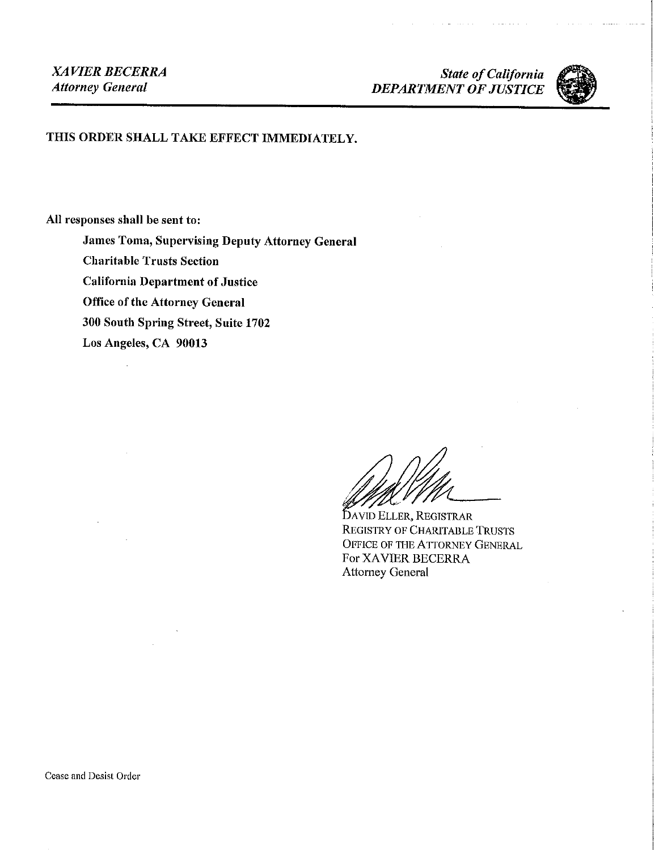المتحدثات

a provincia de la



## THIS ORDER SHALL TAKE EFFECT IMMEDIATELY.

**All responses shall be sent to:** 

**James Toma, Supervising Deputy Attorney General** 

**Charitable Trusts Section** 

**California Department of Justice** 

**Office of the Attorney General** 

**300 South Spring Street, Suite 1702** 

**Los Angeles, CA 90013** 

A YID ELLER, REGISTRAR REGISTRY OF CHARITABLE TRUSTS OFFICE OF THE ATTORNEY GENERAL For XAVIER BECERRA Attorney General